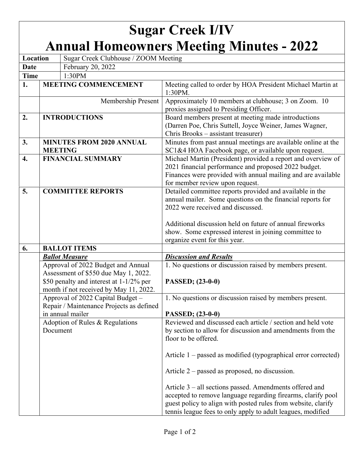## **Sugar Creek I/IV Annual Homeowners Meeting Minutes - 2022**

| Location         |                                 | Sugar Creek Clubhouse / ZOOM Meeting                                                                                                                            |                                                                                                                                                                                                                                                                                                                   |
|------------------|---------------------------------|-----------------------------------------------------------------------------------------------------------------------------------------------------------------|-------------------------------------------------------------------------------------------------------------------------------------------------------------------------------------------------------------------------------------------------------------------------------------------------------------------|
| <b>Date</b>      |                                 | February 20, 2022                                                                                                                                               |                                                                                                                                                                                                                                                                                                                   |
| <b>Time</b>      | 1:30PM                          |                                                                                                                                                                 |                                                                                                                                                                                                                                                                                                                   |
| 1.               |                                 | <b>MEETING COMMENCEMENT</b>                                                                                                                                     | Meeting called to order by HOA President Michael Martin at<br>1:30PM.                                                                                                                                                                                                                                             |
|                  | Membership Present              |                                                                                                                                                                 | Approximately 10 members at clubhouse; 3 on Zoom. 10<br>proxies assigned to Presiding Officer.                                                                                                                                                                                                                    |
| 2.               | <b>INTRODUCTIONS</b>            |                                                                                                                                                                 | Board members present at meeting made introductions<br>(Darren Poe, Chris Suttell, Joyce Weiner, James Wagner,<br>Chris Brooks – assistant treasurer)                                                                                                                                                             |
| 3.               | <b>MINUTES FROM 2020 ANNUAL</b> |                                                                                                                                                                 | Minutes from past annual meetings are available online at the                                                                                                                                                                                                                                                     |
|                  | <b>MEETING</b>                  |                                                                                                                                                                 | SC1&4 HOA Facebook page, or available upon request.                                                                                                                                                                                                                                                               |
| $\overline{4}$ . | <b>FINANCIAL SUMMARY</b>        |                                                                                                                                                                 | Michael Martin (President) provided a report and overview of<br>2021 financial performance and proposed 2022 budget.<br>Finances were provided with annual mailing and are available<br>for member review upon request.                                                                                           |
| 5.               |                                 | <b>COMMITTEE REPORTS</b>                                                                                                                                        | Detailed committee reports provided and available in the<br>annual mailer. Some questions on the financial reports for<br>2022 were received and discussed.<br>Additional discussion held on future of annual fireworks<br>show. Some expressed interest in joining committee to<br>organize event for this year. |
| 6.               | <b>BALLOT ITEMS</b>             |                                                                                                                                                                 |                                                                                                                                                                                                                                                                                                                   |
|                  | <b>Ballot Measure</b>           |                                                                                                                                                                 | <b>Discussion and Results</b>                                                                                                                                                                                                                                                                                     |
|                  |                                 | Approval of 2022 Budget and Annual<br>Assessment of \$550 due May 1, 2022.<br>\$50 penalty and interest at 1-1/2% per<br>month if not received by May 11, 2022. | 1. No questions or discussion raised by members present.<br>PASSED; (23-0-0)                                                                                                                                                                                                                                      |
|                  |                                 | Approval of 2022 Capital Budget -<br>Repair / Maintenance Projects as defined<br>in annual mailer                                                               | 1. No questions or discussion raised by members present.<br>PASSED; (23-0-0)                                                                                                                                                                                                                                      |
|                  | Document                        | Adoption of Rules & Regulations                                                                                                                                 | Reviewed and discussed each article / section and held vote<br>by section to allow for discussion and amendments from the<br>floor to be offered.                                                                                                                                                                 |
|                  |                                 |                                                                                                                                                                 | Article $1$ – passed as modified (typographical error corrected)                                                                                                                                                                                                                                                  |
|                  |                                 |                                                                                                                                                                 | Article $2$ – passed as proposed, no discussion.                                                                                                                                                                                                                                                                  |
|                  |                                 |                                                                                                                                                                 | Article 3 – all sections passed. Amendments offered and<br>accepted to remove language regarding firearms, clarify pool<br>guest policy to align with posted rules from website, clarify<br>tennis league fees to only apply to adult leagues, modified                                                           |